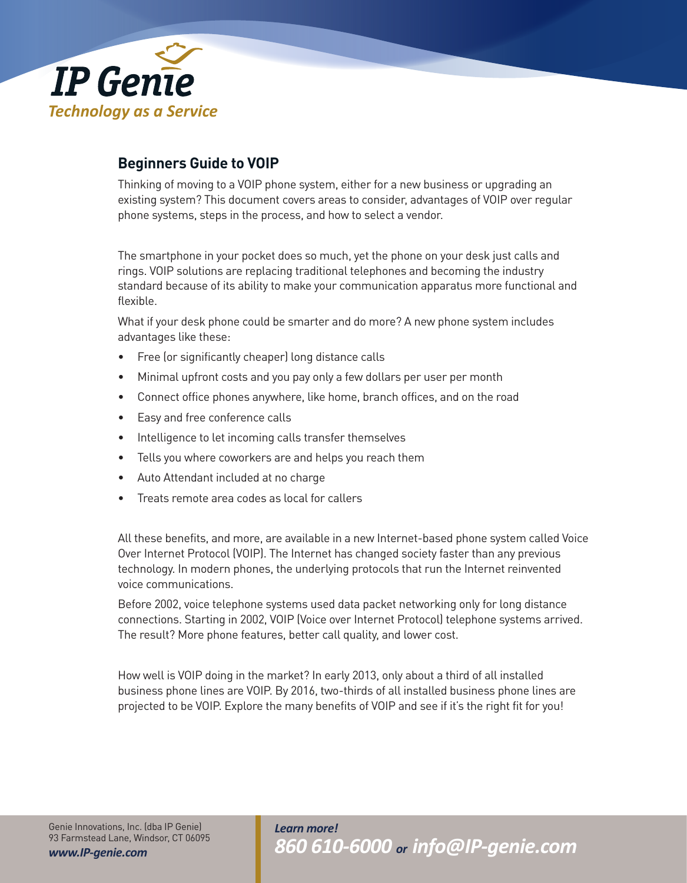

# **Beginners Guide to VOIP**

Thinking of moving to a VOIP phone system, either for a new business or upgrading an existing system? This document covers areas to consider, advantages of VOIP over regular phone systems, steps in the process, and how to select a vendor.

The smartphone in your pocket does so much, yet the phone on your desk just calls and rings. VOIP solutions are replacing traditional telephones and becoming the industry standard because of its ability to make your communication apparatus more functional and flexible.

What if your desk phone could be smarter and do more? A new phone system includes advantages like these:

- Free (or significantly cheaper) long distance calls
- Minimal upfront costs and you pay only a few dollars per user per month
- Connect office phones anywhere, like home, branch offices, and on the road
- Easy and free conference calls
- Intelligence to let incoming calls transfer themselves
- Tells you where coworkers are and helps you reach them
- Auto Attendant included at no charge
- Treats remote area codes as local for callers

All these benefits, and more, are available in a new Internet-based phone system called Voice Over Internet Protocol (VOIP). The Internet has changed society faster than any previous technology. In modern phones, the underlying protocols that run the Internet reinvented voice communications.

Before 2002, voice telephone systems used data packet networking only for long distance connections. Starting in 2002, VOIP (Voice over Internet Protocol) telephone systems arrived. The result? More phone features, better call quality, and lower cost.

How well is VOIP doing in the market? In early 2013, only about a third of all installed business phone lines are VOIP. By 2016, two-thirds of all installed business phone lines are projected to be VOIP. Explore the many benefits of VOIP and see if it's the right fit for you!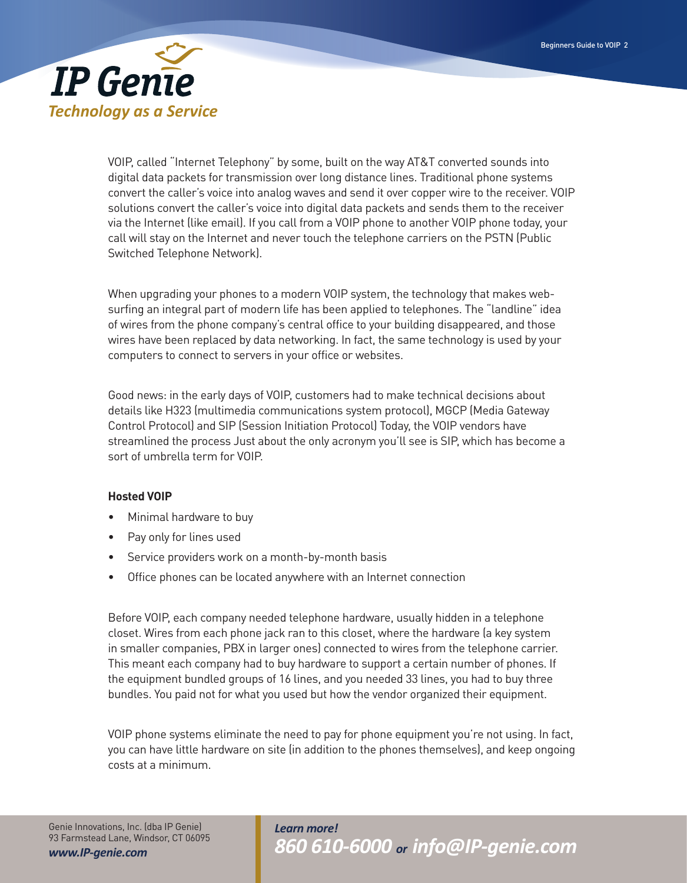

VOIP, called "Internet Telephony" by some, built on the way AT&T converted sounds into digital data packets for transmission over long distance lines. Traditional phone systems convert the caller's voice into analog waves and send it over copper wire to the receiver. VOIP solutions convert the caller's voice into digital data packets and sends them to the receiver via the Internet (like email). If you call from a VOIP phone to another VOIP phone today, your call will stay on the Internet and never touch the telephone carriers on the PSTN (Public Switched Telephone Network).

When upgrading your phones to a modern VOIP system, the technology that makes websurfing an integral part of modern life has been applied to telephones. The "landline" idea of wires from the phone company's central office to your building disappeared, and those wires have been replaced by data networking. In fact, the same technology is used by your computers to connect to servers in your office or websites.

Good news: in the early days of VOIP, customers had to make technical decisions about details like H323 (multimedia communications system protocol), MGCP (Media Gateway Control Protocol) and SIP (Session Initiation Protocol) Today, the VOIP vendors have streamlined the process Just about the only acronym you'll see is SIP, which has become a sort of umbrella term for VOIP.

## **Hosted VOIP**

- Minimal hardware to buy
- Pay only for lines used
- Service providers work on a month-by-month basis
- Office phones can be located anywhere with an Internet connection

Before VOIP, each company needed telephone hardware, usually hidden in a telephone closet. Wires from each phone jack ran to this closet, where the hardware (a key system in smaller companies, PBX in larger ones) connected to wires from the telephone carrier. This meant each company had to buy hardware to support a certain number of phones. If the equipment bundled groups of 16 lines, and you needed 33 lines, you had to buy three bundles. You paid not for what you used but how the vendor organized their equipment.

VOIP phone systems eliminate the need to pay for phone equipment you're not using. In fact, you can have little hardware on site (in addition to the phones themselves), and keep ongoing costs at a minimum.

Genie Innovations, Inc. (dba IP Genie) 93 Farmstead Lane, Windsor, CT 06095 *www.IP-genie.com*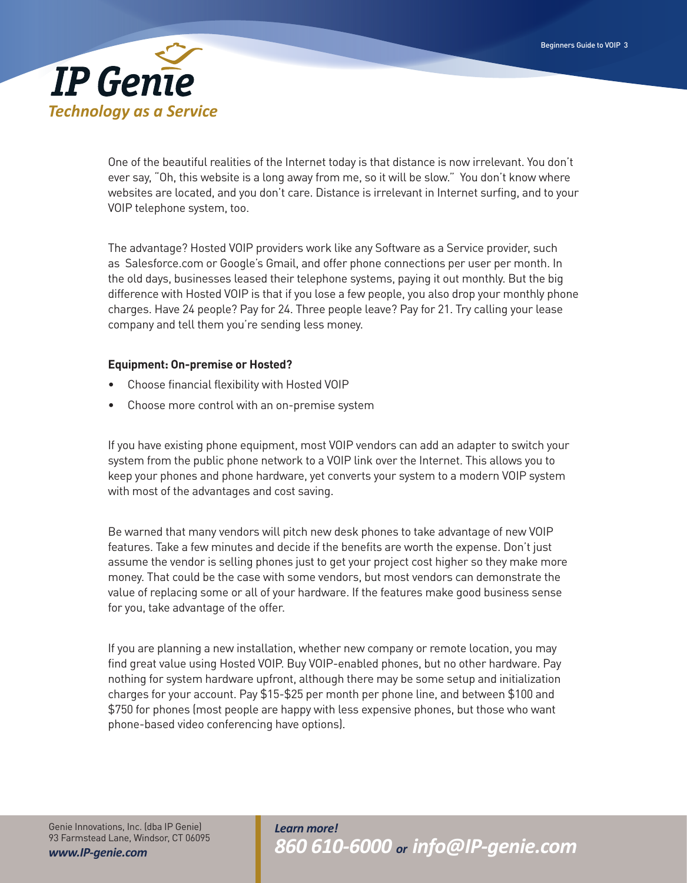

One of the beautiful realities of the Internet today is that distance is now irrelevant. You don't ever say, "Oh, this website is a long away from me, so it will be slow." You don't know where websites are located, and you don't care. Distance is irrelevant in Internet surfing, and to your VOIP telephone system, too.

The advantage? Hosted VOIP providers work like any Software as a Service provider, such as Salesforce.com or Google's Gmail, and offer phone connections per user per month. In the old days, businesses leased their telephone systems, paying it out monthly. But the big difference with Hosted VOIP is that if you lose a few people, you also drop your monthly phone charges. Have 24 people? Pay for 24. Three people leave? Pay for 21. Try calling your lease company and tell them you're sending less money.

## **Equipment: On-premise or Hosted?**

- Choose financial flexibility with Hosted VOIP
- Choose more control with an on-premise system

If you have existing phone equipment, most VOIP vendors can add an adapter to switch your system from the public phone network to a VOIP link over the Internet. This allows you to keep your phones and phone hardware, yet converts your system to a modern VOIP system with most of the advantages and cost saving.

Be warned that many vendors will pitch new desk phones to take advantage of new VOIP features. Take a few minutes and decide if the benefits are worth the expense. Don't just assume the vendor is selling phones just to get your project cost higher so they make more money. That could be the case with some vendors, but most vendors can demonstrate the value of replacing some or all of your hardware. If the features make good business sense for you, take advantage of the offer.

If you are planning a new installation, whether new company or remote location, you may find great value using Hosted VOIP. Buy VOIP-enabled phones, but no other hardware. Pay nothing for system hardware upfront, although there may be some setup and initialization charges for your account. Pay \$15-\$25 per month per phone line, and between \$100 and \$750 for phones (most people are happy with less expensive phones, but those who want phone-based video conferencing have options).

Genie Innovations, Inc. (dba IP Genie) 93 Farmstead Lane, Windsor, CT 06095 *www.IP-genie.com*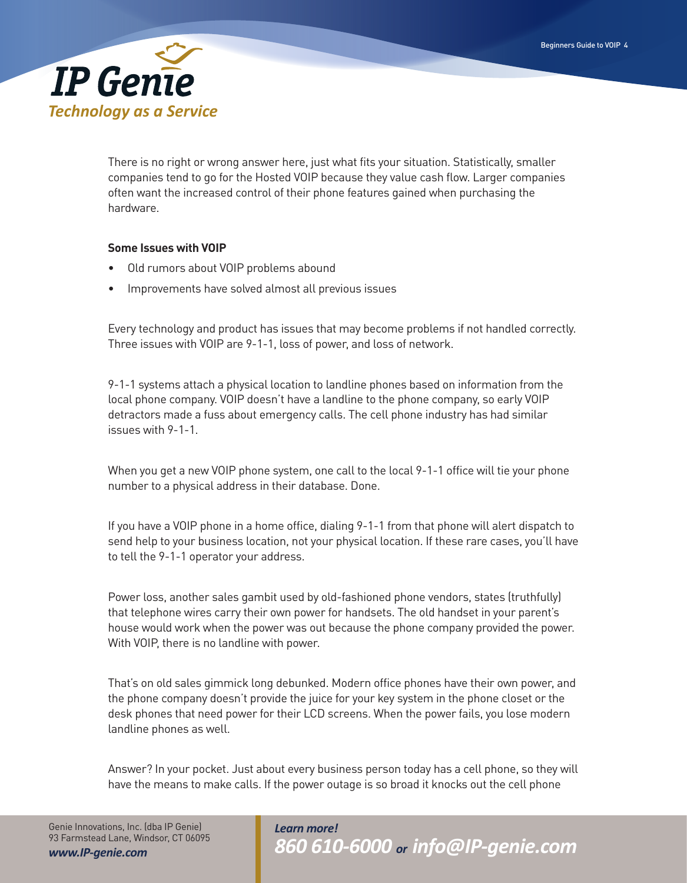

There is no right or wrong answer here, just what fits your situation. Statistically, smaller companies tend to go for the Hosted VOIP because they value cash flow. Larger companies often want the increased control of their phone features gained when purchasing the hardware.

## **Some Issues with VOIP**

- Old rumors about VOIP problems abound
- Improvements have solved almost all previous issues

Every technology and product has issues that may become problems if not handled correctly. Three issues with VOIP are 9-1-1, loss of power, and loss of network.

9-1-1 systems attach a physical location to landline phones based on information from the local phone company. VOIP doesn't have a landline to the phone company, so early VOIP detractors made a fuss about emergency calls. The cell phone industry has had similar issues with 9-1-1.

When you get a new VOIP phone system, one call to the local 9-1-1 office will tie your phone number to a physical address in their database. Done.

If you have a VOIP phone in a home office, dialing 9-1-1 from that phone will alert dispatch to send help to your business location, not your physical location. If these rare cases, you'll have to tell the 9-1-1 operator your address.

Power loss, another sales gambit used by old-fashioned phone vendors, states (truthfully) that telephone wires carry their own power for handsets. The old handset in your parent's house would work when the power was out because the phone company provided the power. With VOIP, there is no landline with power.

That's on old sales gimmick long debunked. Modern office phones have their own power, and the phone company doesn't provide the juice for your key system in the phone closet or the desk phones that need power for their LCD screens. When the power fails, you lose modern landline phones as well.

Answer? In your pocket. Just about every business person today has a cell phone, so they will have the means to make calls. If the power outage is so broad it knocks out the cell phone

Genie Innovations, Inc. (dba IP Genie) 93 Farmstead Lane, Windsor, CT 06095 *www.IP-genie.com*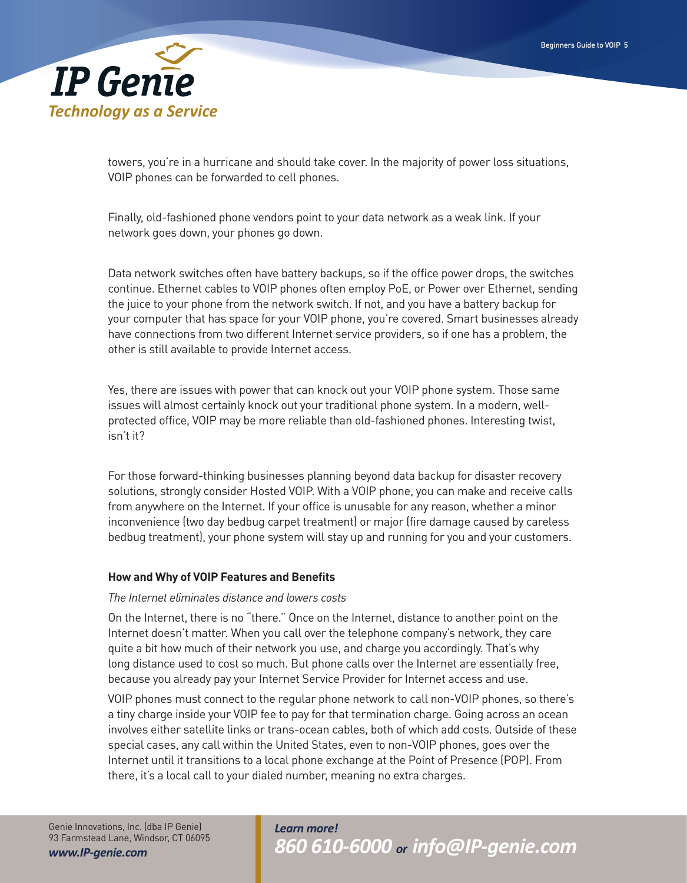

towers, you're in a hurricane and should take cover. In the majority of power loss situations, VOIP phones can be forwarded to cell phones.

Finally, old-fashioned phone vendors point to your data network as a weak link. If your network goes down, your phones go down.

Data network switches often have battery backups, so if the office power drops, the switches continue. Ethernet cables to VOIP phones often employ PoE, or Power over Ethernet, sending the juice to your phone from the network switch. If not, and you have a battery backup for your computer that has space for your VOIP phone, you're covered. Smart businesses already have connections from two different Internet service providers, so if one has a problem, the other is still available to provide Internet access.

Yes, there are issues with power that can knock out your VOIP phone system. Those same issues will almost certainly knock out your traditional phone system. In a modern, wellprotected office, VOIP may be more reliable than old-fashioned phones. Interesting twist, isn't it?

For those forward-thinking businesses planning beyond data backup for disaster recovery solutions, strongly consider Hosted VOIP. With a VOIP phone, you can make and receive calls from anywhere on the Internet. If your office is unusable for any reason, whether a minor inconvenience (two day bedbug carpet treatment) or major (fire damage caused by careless bedbug treatment), your phone system will stay up and running for you and your customers.

## **How and Why of VOIP Features and Benefits**

#### *The Internet eliminates distance and lowers costs*

On the Internet, there is no "there." Once on the Internet, distance to another point on the Internet doesn't matter. When you call over the telephone company's network, they care quite a bit how much of their network you use, and charge you accordingly. That's why long distance used to cost so much. But phone calls over the Internet are essentially free, because you already pay your Internet Service Provider for Internet access and use.

VOIP phones must connect to the regular phone network to call non-VOIP phones, so there's a tiny charge inside your VOIP fee to pay for that termination charge. Going across an ocean involves either satellite links or trans-ocean cables, both of which add costs. Outside of these special cases, any call within the United States, even to non-VOIP phones, goes over the Internet until it transitions to a local phone exchange at the Point of Presence (POP). From there, it's a local call to your dialed number, meaning no extra charges.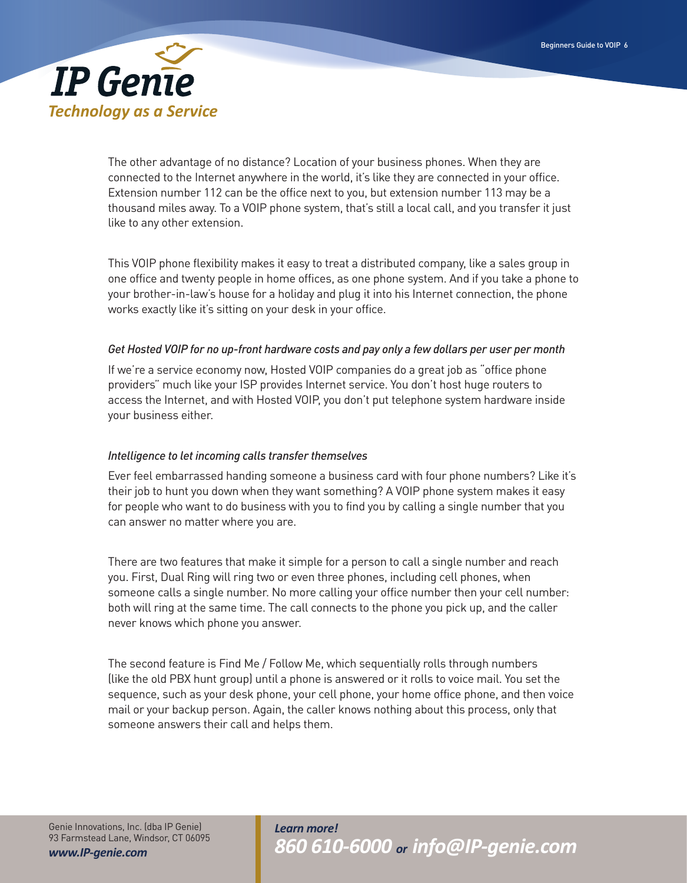

The other advantage of no distance? Location of your business phones. When they are connected to the Internet anywhere in the world, it's like they are connected in your office. Extension number 112 can be the office next to you, but extension number 113 may be a thousand miles away. To a VOIP phone system, that's still a local call, and you transfer it just like to any other extension.

This VOIP phone flexibility makes it easy to treat a distributed company, like a sales group in one office and twenty people in home offices, as one phone system. And if you take a phone to your brother-in-law's house for a holiday and plug it into his Internet connection, the phone works exactly like it's sitting on your desk in your office.

## *Get Hosted VOIP for no up-front hardware costs and pay only a few dollars per user per month*

If we're a service economy now, Hosted VOIP companies do a great job as "office phone providers" much like your ISP provides Internet service. You don't host huge routers to access the Internet, and with Hosted VOIP, you don't put telephone system hardware inside your business either.

## *Intelligence to let incoming calls transfer themselves*

Ever feel embarrassed handing someone a business card with four phone numbers? Like it's their job to hunt you down when they want something? A VOIP phone system makes it easy for people who want to do business with you to find you by calling a single number that you can answer no matter where you are.

There are two features that make it simple for a person to call a single number and reach you. First, Dual Ring will ring two or even three phones, including cell phones, when someone calls a single number. No more calling your office number then your cell number: both will ring at the same time. The call connects to the phone you pick up, and the caller never knows which phone you answer.

The second feature is Find Me / Follow Me, which sequentially rolls through numbers (like the old PBX hunt group) until a phone is answered or it rolls to voice mail. You set the sequence, such as your desk phone, your cell phone, your home office phone, and then voice mail or your backup person. Again, the caller knows nothing about this process, only that someone answers their call and helps them.

Genie Innovations, Inc. (dba IP Genie) 93 Farmstead Lane, Windsor, CT 06095 *www.IP-genie.com*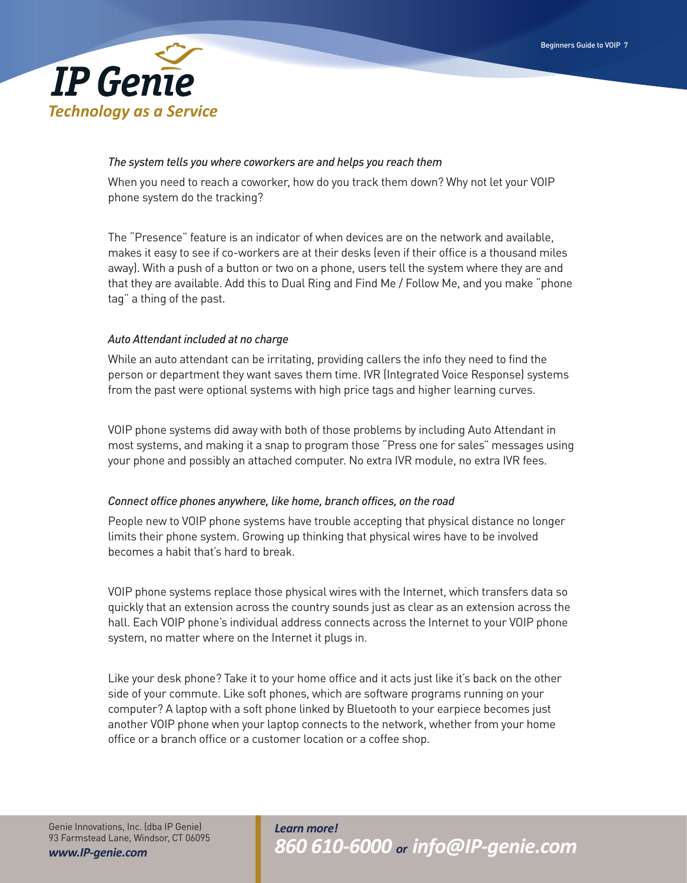

#### *The system tells you where coworkers are and helps you reach them*

When you need to reach a coworker, how do you track them down? Why not let your VOIP phone system do the tracking?

The "Presence" feature is an indicator of when devices are on the network and available, makes it easy to see if co-workers are at their desks (even if their office is a thousand miles away). With a push of a button or two on a phone, users tell the system where they are and that they are available. Add this to Dual Ring and Find Me / Follow Me, and you make "phone tag" a thing of the past.

## *Auto Attendant included at no charge*

While an auto attendant can be irritating, providing callers the info they need to find the person or department they want saves them time. IVR (Integrated Voice Response) systems from the past were optional systems with high price tags and higher learning curves.

VOIP phone systems did away with both of those problems by including Auto Attendant in most systems, and making it a snap to program those "Press one for sales" messages using your phone and possibly an attached computer. No extra IVR module, no extra IVR fees.

#### *Connect office phones anywhere, like home, branch offices, on the road*

People new to VOIP phone systems have trouble accepting that physical distance no longer limits their phone system. Growing up thinking that physical wires have to be involved becomes a habit that's hard to break.

VOIP phone systems replace those physical wires with the Internet, which transfers data so quickly that an extension across the country sounds just as clear as an extension across the hall. Each VOIP phone's individual address connects across the Internet to your VOIP phone system, no matter where on the Internet it plugs in.

Like your desk phone? Take it to your home office and it acts just like it's back on the other side of your commute. Like soft phones, which are software programs running on your computer? A laptop with a soft phone linked by Bluetooth to your earpiece becomes just another VOIP phone when your laptop connects to the network, whether from your home office or a branch office or a customer location or a coffee shop.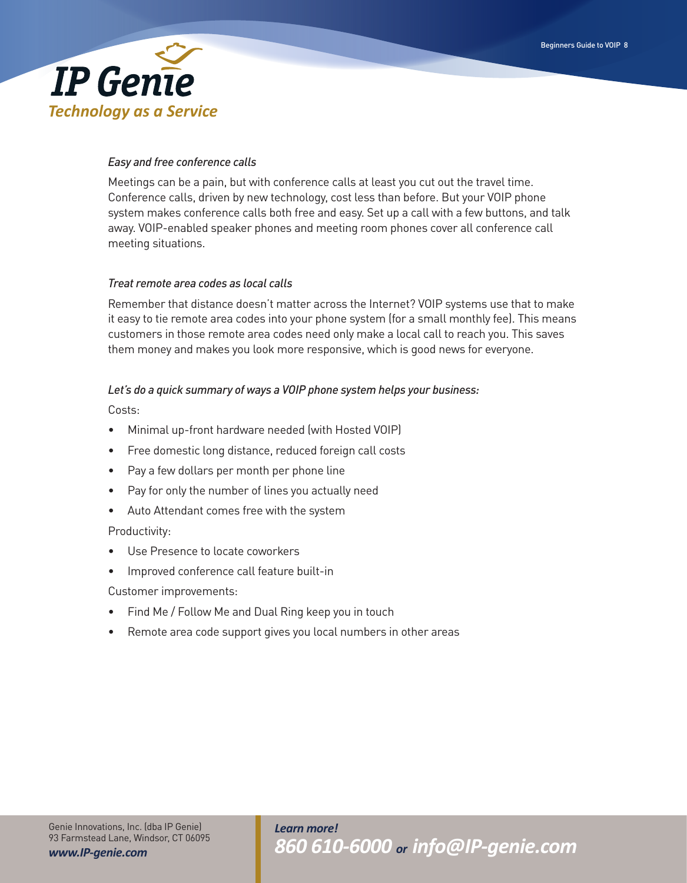

## *Easy and free conference calls*

Meetings can be a pain, but with conference calls at least you cut out the travel time. Conference calls, driven by new technology, cost less than before. But your VOIP phone system makes conference calls both free and easy. Set up a call with a few buttons, and talk away. VOIP-enabled speaker phones and meeting room phones cover all conference call meeting situations.

## *Treat remote area codes as local calls*

Remember that distance doesn't matter across the Internet? VOIP systems use that to make it easy to tie remote area codes into your phone system (for a small monthly fee). This means customers in those remote area codes need only make a local call to reach you. This saves them money and makes you look more responsive, which is good news for everyone.

## *Let's do a quick summary of ways a VOIP phone system helps your business:*

Costs:

- Minimal up-front hardware needed (with Hosted VOIP)
- Free domestic long distance, reduced foreign call costs
- Pay a few dollars per month per phone line
- Pay for only the number of lines you actually need
- Auto Attendant comes free with the system

## Productivity:

- Use Presence to locate coworkers
- Improved conference call feature built-in

Customer improvements:

- Find Me / Follow Me and Dual Ring keep you in touch
- Remote area code support gives you local numbers in other areas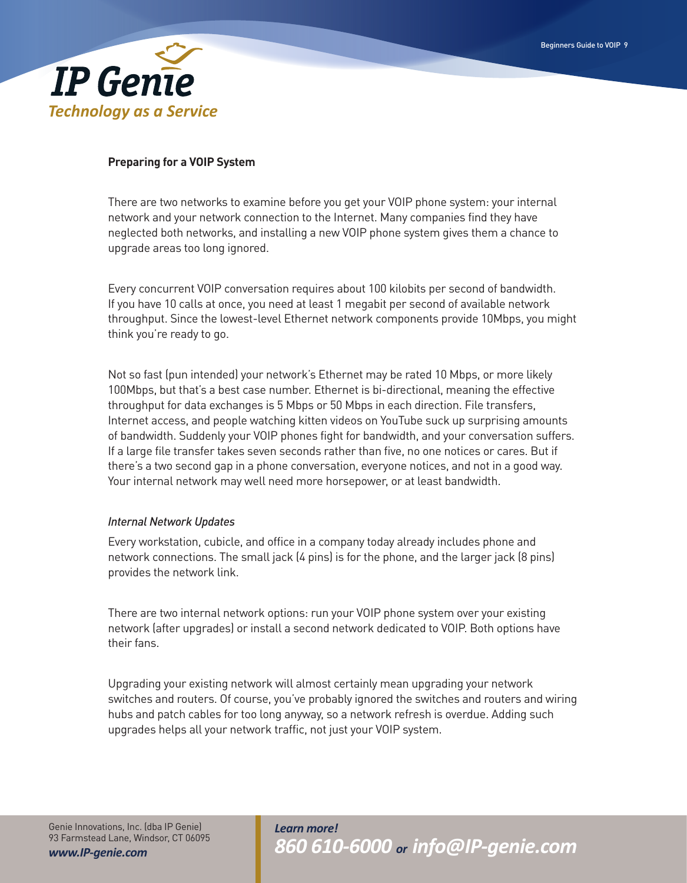

## **Preparing for a VOIP System**

There are two networks to examine before you get your VOIP phone system: your internal network and your network connection to the Internet. Many companies find they have neglected both networks, and installing a new VOIP phone system gives them a chance to upgrade areas too long ignored.

Every concurrent VOIP conversation requires about 100 kilobits per second of bandwidth. If you have 10 calls at once, you need at least 1 megabit per second of available network throughput. Since the lowest-level Ethernet network components provide 10Mbps, you might think you're ready to go.

Not so fast (pun intended) your network's Ethernet may be rated 10 Mbps, or more likely 100Mbps, but that's a best case number. Ethernet is bi-directional, meaning the effective throughput for data exchanges is 5 Mbps or 50 Mbps in each direction. File transfers, Internet access, and people watching kitten videos on YouTube suck up surprising amounts of bandwidth. Suddenly your VOIP phones fight for bandwidth, and your conversation suffers. If a large file transfer takes seven seconds rather than five, no one notices or cares. But if there's a two second gap in a phone conversation, everyone notices, and not in a good way. Your internal network may well need more horsepower, or at least bandwidth.

#### *Internal Network Updates*

Every workstation, cubicle, and office in a company today already includes phone and network connections. The small jack (4 pins) is for the phone, and the larger jack (8 pins) provides the network link.

There are two internal network options: run your VOIP phone system over your existing network (after upgrades) or install a second network dedicated to VOIP. Both options have their fans.

Upgrading your existing network will almost certainly mean upgrading your network switches and routers. Of course, you've probably ignored the switches and routers and wiring hubs and patch cables for too long anyway, so a network refresh is overdue. Adding such upgrades helps all your network traffic, not just your VOIP system.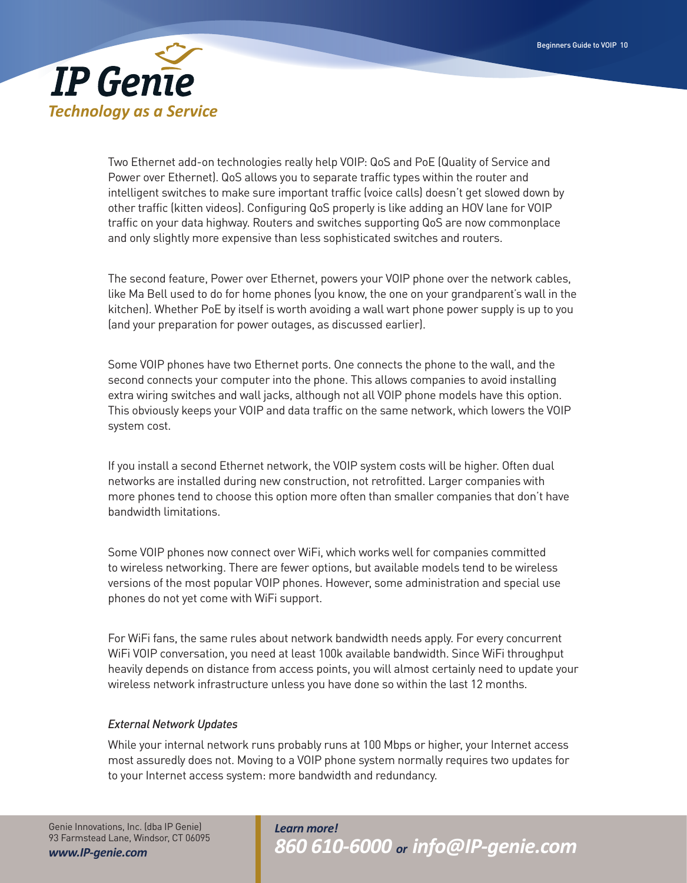

Two Ethernet add-on technologies really help VOIP: QoS and PoE (Quality of Service and Power over Ethernet). QoS allows you to separate traffic types within the router and intelligent switches to make sure important traffic (voice calls) doesn't get slowed down by other traffic (kitten videos). Configuring QoS properly is like adding an HOV lane for VOIP traffic on your data highway. Routers and switches supporting QoS are now commonplace and only slightly more expensive than less sophisticated switches and routers.

The second feature, Power over Ethernet, powers your VOIP phone over the network cables, like Ma Bell used to do for home phones (you know, the one on your grandparent's wall in the kitchen). Whether PoE by itself is worth avoiding a wall wart phone power supply is up to you (and your preparation for power outages, as discussed earlier).

Some VOIP phones have two Ethernet ports. One connects the phone to the wall, and the second connects your computer into the phone. This allows companies to avoid installing extra wiring switches and wall jacks, although not all VOIP phone models have this option. This obviously keeps your VOIP and data traffic on the same network, which lowers the VOIP system cost.

If you install a second Ethernet network, the VOIP system costs will be higher. Often dual networks are installed during new construction, not retrofitted. Larger companies with more phones tend to choose this option more often than smaller companies that don't have bandwidth limitations.

Some VOIP phones now connect over WiFi, which works well for companies committed to wireless networking. There are fewer options, but available models tend to be wireless versions of the most popular VOIP phones. However, some administration and special use phones do not yet come with WiFi support.

For WiFi fans, the same rules about network bandwidth needs apply. For every concurrent WiFi VOIP conversation, you need at least 100k available bandwidth. Since WiFi throughput heavily depends on distance from access points, you will almost certainly need to update your wireless network infrastructure unless you have done so within the last 12 months.

## *External Network Updates*

While your internal network runs probably runs at 100 Mbps or higher, your Internet access most assuredly does not. Moving to a VOIP phone system normally requires two updates for to your Internet access system: more bandwidth and redundancy.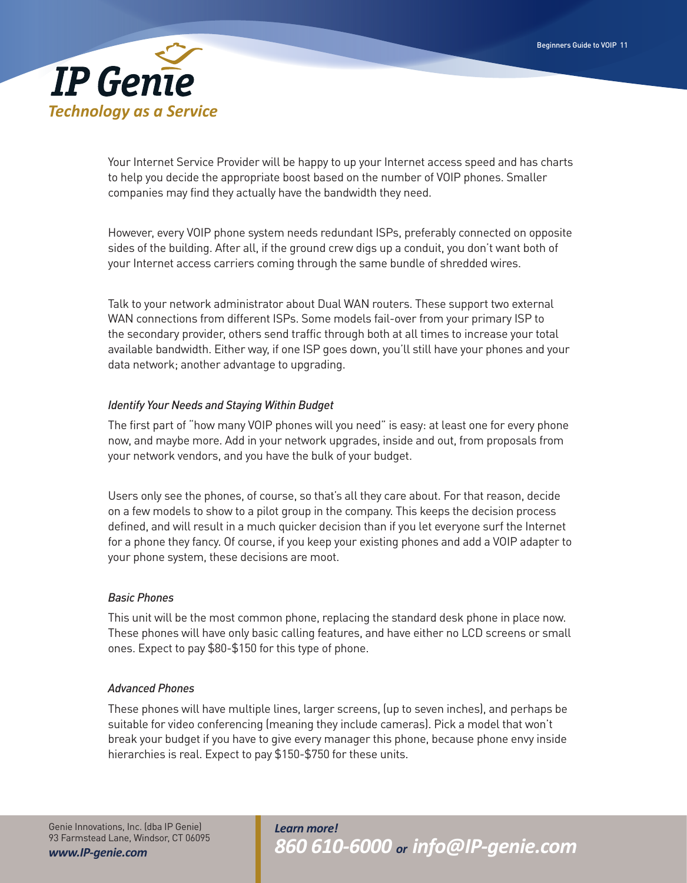

Your Internet Service Provider will be happy to up your Internet access speed and has charts to help you decide the appropriate boost based on the number of VOIP phones. Smaller companies may find they actually have the bandwidth they need.

However, every VOIP phone system needs redundant ISPs, preferably connected on opposite sides of the building. After all, if the ground crew digs up a conduit, you don't want both of your Internet access carriers coming through the same bundle of shredded wires.

Talk to your network administrator about Dual WAN routers. These support two external WAN connections from different ISPs. Some models fail-over from your primary ISP to the secondary provider, others send traffic through both at all times to increase your total available bandwidth. Either way, if one ISP goes down, you'll still have your phones and your data network; another advantage to upgrading.

# *Identify Your Needs and Staying Within Budget*

The first part of "how many VOIP phones will you need" is easy: at least one for every phone now, and maybe more. Add in your network upgrades, inside and out, from proposals from your network vendors, and you have the bulk of your budget.

Users only see the phones, of course, so that's all they care about. For that reason, decide on a few models to show to a pilot group in the company. This keeps the decision process defined, and will result in a much quicker decision than if you let everyone surf the Internet for a phone they fancy. Of course, if you keep your existing phones and add a VOIP adapter to your phone system, these decisions are moot.

#### *Basic Phones*

This unit will be the most common phone, replacing the standard desk phone in place now. These phones will have only basic calling features, and have either no LCD screens or small ones. Expect to pay \$80-\$150 for this type of phone.

## *Advanced Phones*

These phones will have multiple lines, larger screens, (up to seven inches), and perhaps be suitable for video conferencing (meaning they include cameras). Pick a model that won't break your budget if you have to give every manager this phone, because phone envy inside hierarchies is real. Expect to pay \$150-\$750 for these units.